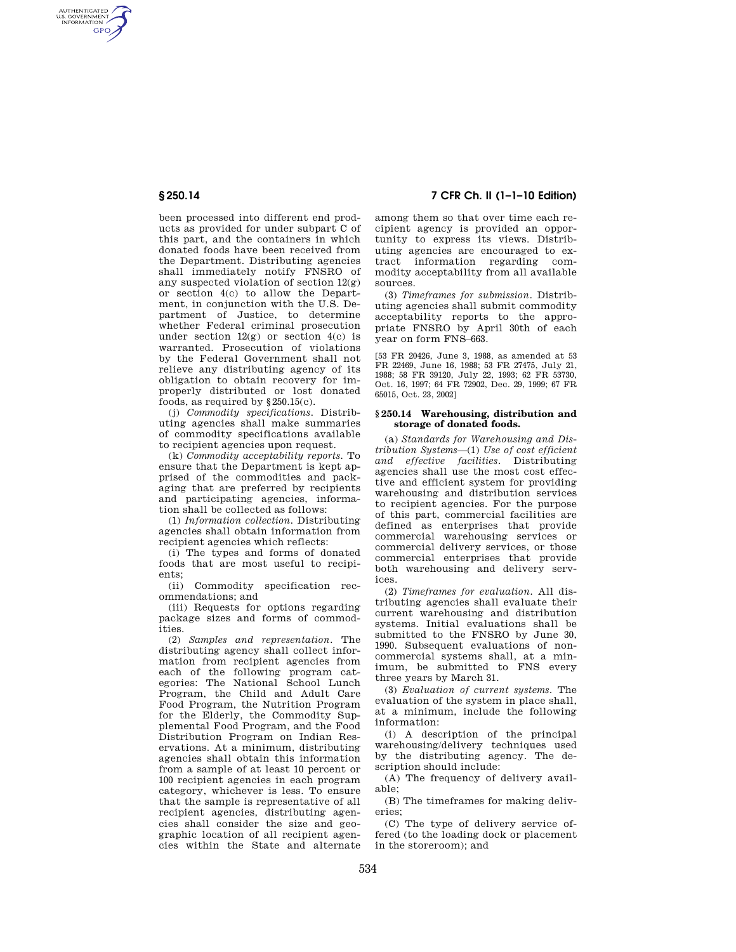AUTHENTICATED<br>U.S. GOVERNMENT<br>INFORMATION **GPO** 

> been processed into different end products as provided for under subpart C of this part, and the containers in which donated foods have been received from the Department. Distributing agencies shall immediately notify FNSRO of any suspected violation of section  $12(g)$ or section 4(c) to allow the Department, in conjunction with the U.S. Department of Justice, to determine whether Federal criminal prosecution under section  $12(g)$  or section  $4(c)$  is warranted. Prosecution of violations by the Federal Government shall not relieve any distributing agency of its obligation to obtain recovery for improperly distributed or lost donated foods, as required by §250.15(c).

(j) *Commodity specifications.* Distributing agencies shall make summaries of commodity specifications available to recipient agencies upon request.

(k) *Commodity acceptability reports.* To ensure that the Department is kept apprised of the commodities and packaging that are preferred by recipients and participating agencies, information shall be collected as follows:

(1) *Information collection.* Distributing agencies shall obtain information from recipient agencies which reflects:

(i) The types and forms of donated foods that are most useful to recipients;

(ii) Commodity specification recommendations; and

(iii) Requests for options regarding package sizes and forms of commodities.

(2) *Samples and representation.* The distributing agency shall collect information from recipient agencies from each of the following program categories: The National School Lunch Program, the Child and Adult Care Food Program, the Nutrition Program for the Elderly, the Commodity Supplemental Food Program, and the Food Distribution Program on Indian Reservations. At a minimum, distributing agencies shall obtain this information from a sample of at least 10 percent or 100 recipient agencies in each program category, whichever is less. To ensure that the sample is representative of all recipient agencies, distributing agencies shall consider the size and geographic location of all recipient agencies within the State and alternate

**§ 250.14 7 CFR Ch. II (1–1–10 Edition)** 

among them so that over time each recipient agency is provided an opportunity to express its views. Distributing agencies are encouraged to extract information regarding commodity acceptability from all available sources.

(3) *Timeframes for submission.* Distributing agencies shall submit commodity acceptability reports to the appropriate FNSRO by April 30th of each year on form FNS–663.

[53 FR 20426, June 3, 1988, as amended at 53 FR 22469, June 16, 1988; 53 FR 27475, July 21, 1988; 58 FR 39120, July 22, 1993; 62 FR 53730, Oct. 16, 1997; 64 FR 72902, Dec. 29, 1999; 67 FR 65015, Oct. 23, 2002]

## **§ 250.14 Warehousing, distribution and storage of donated foods.**

(a) *Standards for Warehousing and Distribution Systems*—(1) *Use of cost efficient and effective facilities.* Distributing agencies shall use the most cost effective and efficient system for providing warehousing and distribution services to recipient agencies. For the purpose of this part, commercial facilities are defined as enterprises that provide commercial warehousing services or commercial delivery services, or those commercial enterprises that provide both warehousing and delivery services.

(2) *Timeframes for evaluation.* All distributing agencies shall evaluate their current warehousing and distribution systems. Initial evaluations shall be submitted to the FNSRO by June 30, 1990. Subsequent evaluations of noncommercial systems shall, at a minimum, be submitted to FNS every three years by March 31.

(3) *Evaluation of current systems.* The evaluation of the system in place shall, at a minimum, include the following information:

(i) A description of the principal warehousing/delivery techniques used by the distributing agency. The description should include:

(A) The frequency of delivery available;

(B) The timeframes for making deliveries;

(C) The type of delivery service offered (to the loading dock or placement in the storeroom); and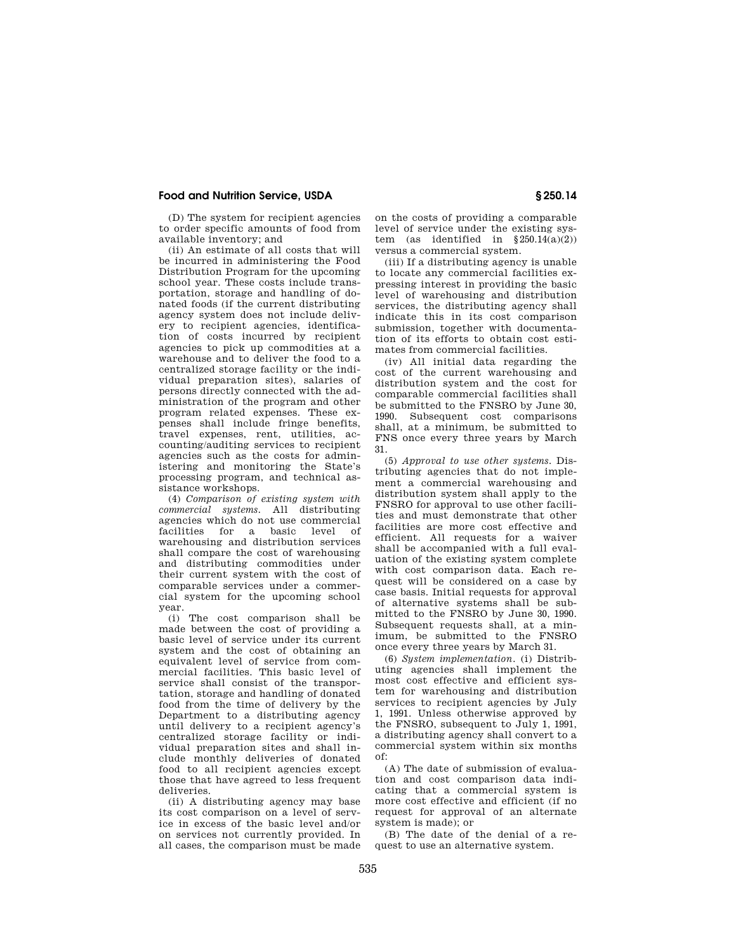## **Food and Nutrition Service, USDA § 250.14**

(D) The system for recipient agencies to order specific amounts of food from available inventory; and

(ii) An estimate of all costs that will be incurred in administering the Food Distribution Program for the upcoming school year. These costs include transportation, storage and handling of donated foods (if the current distributing agency system does not include delivery to recipient agencies, identification of costs incurred by recipient agencies to pick up commodities at a warehouse and to deliver the food to a centralized storage facility or the individual preparation sites), salaries of persons directly connected with the administration of the program and other program related expenses. These expenses shall include fringe benefits, travel expenses, rent, utilities, accounting/auditing services to recipient agencies such as the costs for administering and monitoring the State's processing program, and technical assistance workshops.

(4) *Comparison of existing system with commercial systems.* All distributing agencies which do not use commercial facilities for a basic level of warehousing and distribution services shall compare the cost of warehousing and distributing commodities under their current system with the cost of comparable services under a commercial system for the upcoming school year.

(i) The cost comparison shall be made between the cost of providing a basic level of service under its current system and the cost of obtaining an equivalent level of service from commercial facilities. This basic level of service shall consist of the transportation, storage and handling of donated food from the time of delivery by the Department to a distributing agency until delivery to a recipient agency's centralized storage facility or individual preparation sites and shall include monthly deliveries of donated food to all recipient agencies except those that have agreed to less frequent deliveries.

(ii) A distributing agency may base its cost comparison on a level of service in excess of the basic level and/or on services not currently provided. In all cases, the comparison must be made on the costs of providing a comparable level of service under the existing system (as identified in  $§250.14(a)(2))$ versus a commercial system.

(iii) If a distributing agency is unable to locate any commercial facilities expressing interest in providing the basic level of warehousing and distribution services, the distributing agency shall indicate this in its cost comparison submission, together with documentation of its efforts to obtain cost estimates from commercial facilities.

(iv) All initial data regarding the cost of the current warehousing and distribution system and the cost for comparable commercial facilities shall be submitted to the FNSRO by June 30, 1990. Subsequent cost comparisons shall, at a minimum, be submitted to FNS once every three years by March 31.

(5) *Approval to use other systems.* Distributing agencies that do not implement a commercial warehousing and distribution system shall apply to the FNSRO for approval to use other facilities and must demonstrate that other facilities are more cost effective and efficient. All requests for a waiver shall be accompanied with a full evaluation of the existing system complete with cost comparison data. Each request will be considered on a case by case basis. Initial requests for approval of alternative systems shall be submitted to the FNSRO by June 30, 1990. Subsequent requests shall, at a minimum, be submitted to the FNSRO once every three years by March 31.

(6) *System implementation.* (i) Distributing agencies shall implement the most cost effective and efficient system for warehousing and distribution services to recipient agencies by July 1, 1991. Unless otherwise approved by the FNSRO, subsequent to July 1, 1991, a distributing agency shall convert to a commercial system within six months of:

(A) The date of submission of evaluation and cost comparison data indicating that a commercial system is more cost effective and efficient (if no request for approval of an alternate system is made); or

(B) The date of the denial of a request to use an alternative system.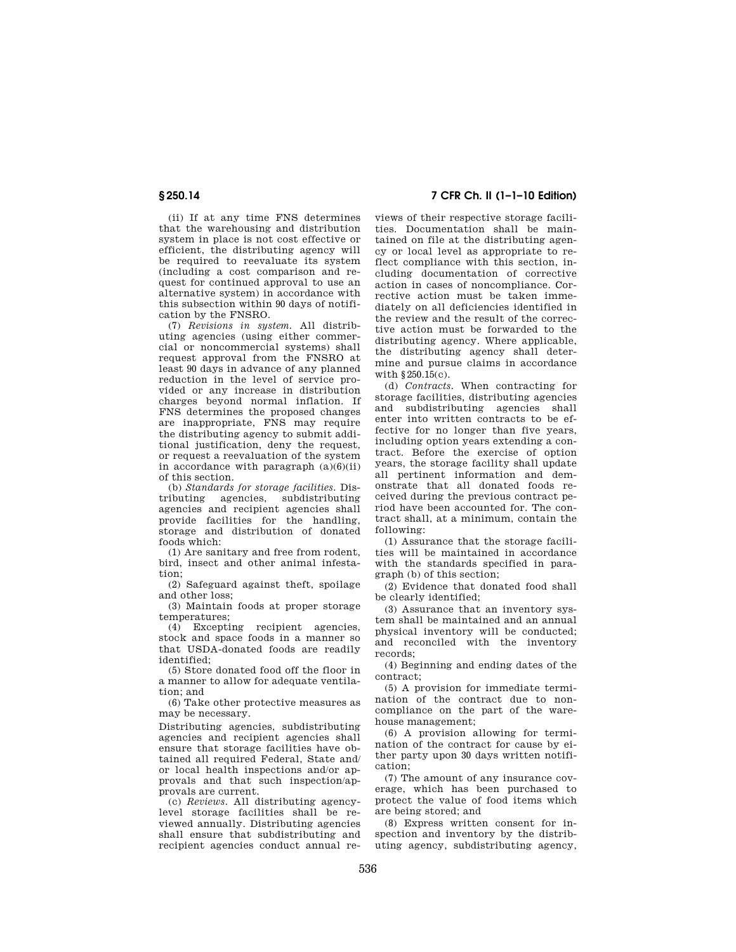(ii) If at any time FNS determines that the warehousing and distribution system in place is not cost effective or efficient, the distributing agency will be required to reevaluate its system (including a cost comparison and request for continued approval to use an alternative system) in accordance with this subsection within 90 days of notification by the FNSRO.

(7) *Revisions in system.* All distributing agencies (using either commercial or noncommercial systems) shall request approval from the FNSRO at least 90 days in advance of any planned reduction in the level of service provided or any increase in distribution charges beyond normal inflation. If FNS determines the proposed changes are inappropriate, FNS may require the distributing agency to submit additional justification, deny the request, or request a reevaluation of the system in accordance with paragraph  $(a)(6)(ii)$ of this section.

(b) *Standards for storage facilities.* Distributing agencies, subdistributing agencies and recipient agencies shall provide facilities for the handling, storage and distribution of donated foods which:

(1) Are sanitary and free from rodent, bird, insect and other animal infestation;

(2) Safeguard against theft, spoilage and other loss;

(3) Maintain foods at proper storage temperatures;

(4) Excepting recipient agencies, stock and space foods in a manner so that USDA-donated foods are readily identified;

(5) Store donated food off the floor in a manner to allow for adequate ventilation; and

(6) Take other protective measures as may be necessary.

Distributing agencies, subdistributing agencies and recipient agencies shall ensure that storage facilities have obtained all required Federal, State and/ or local health inspections and/or approvals and that such inspection/approvals are current.

(c) *Reviews.* All distributing agencylevel storage facilities shall be reviewed annually. Distributing agencies shall ensure that subdistributing and recipient agencies conduct annual re-

**§ 250.14 7 CFR Ch. II (1–1–10 Edition)** 

views of their respective storage facilities. Documentation shall be maintained on file at the distributing agency or local level as appropriate to reflect compliance with this section, including documentation of corrective action in cases of noncompliance. Corrective action must be taken immediately on all deficiencies identified in the review and the result of the corrective action must be forwarded to the distributing agency. Where applicable, the distributing agency shall determine and pursue claims in accordance with §250.15(c).

(d) *Contracts.* When contracting for storage facilities, distributing agencies and subdistributing agencies shall enter into written contracts to be effective for no longer than five years, including option years extending a contract. Before the exercise of option years, the storage facility shall update all pertinent information and demonstrate that all donated foods received during the previous contract period have been accounted for. The contract shall, at a minimum, contain the following:

(1) Assurance that the storage facilities will be maintained in accordance with the standards specified in paragraph (b) of this section;

(2) Evidence that donated food shall be clearly identified;

(3) Assurance that an inventory system shall be maintained and an annual physical inventory will be conducted; and reconciled with the inventory records;

(4) Beginning and ending dates of the contract;

(5) A provision for immediate termination of the contract due to noncompliance on the part of the warehouse management;

(6) A provision allowing for termination of the contract for cause by either party upon 30 days written notification;

(7) The amount of any insurance coverage, which has been purchased to protect the value of food items which are being stored; and

(8) Express written consent for inspection and inventory by the distributing agency, subdistributing agency,